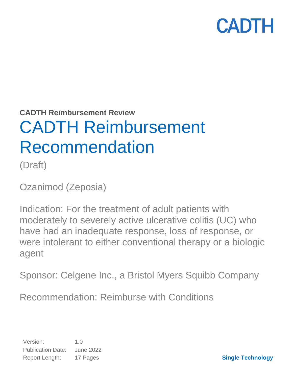**CADTH Reimbursement Review**

# CADTH Reimbursement Recommendation

(Draft)

Ozanimod (Zeposia)

Indication: For the treatment of adult patients with moderately to severely active ulcerative colitis (UC) who have had an inadequate response, loss of response, or were intolerant to either conventional therapy or a biologic agent

Sponsor: Celgene Inc., a Bristol Myers Squibb Company

Recommendation: Reimburse with Conditions

Version: 1.0 Publication Date: June 2022 Report Length: 17 Pages

**Single Technology**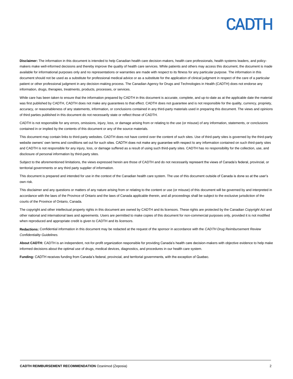**Disclaimer:** The information in this document is intended to help Canadian health care decision-makers, health care professionals, health systems leaders, and policymakers make well-informed decisions and thereby improve the quality of health care services. While patients and others may access this document, the document is made available for informational purposes only and no representations or warranties are made with respect to its fitness for any particular purpose. The information in this document should not be used as a substitute for professional medical advice or as a substitute for the application of clinical judgment in respect of the care of a particular patient or other professional judgment in any decision-making process. The Canadian Agency for Drugs and Technologies in Health (CADTH) does not endorse any information, drugs, therapies, treatments, products, processes, or services.

While care has been taken to ensure that the information prepared by CADTH in this document is accurate, complete, and up-to-date as at the applicable date the material was first published by CADTH, CADTH does not make any guarantees to that effect. CADTH does not guarantee and is not responsible for the quality, currency, propriety, accuracy, or reasonableness of any statements, information, or conclusions contained in any third-party materials used in preparing this document. The views and opinions of third parties published in this document do not necessarily state or reflect those of CADTH.

CADTH is not responsible for any errors, omissions, injury, loss, or damage arising from or relating to the use (or misuse) of any information, statements, or conclusions contained in or implied by the contents of this document or any of the source materials.

This document may contain links to third-party websites. CADTH does not have control over the content of such sites. Use of third-party sites is governed by the third-party website owners' own terms and conditions set out for such sites. CADTH does not make any guarantee with respect to any information contained on such third-party sites and CADTH is not responsible for any injury, loss, or damage suffered as a result of using such third-party sites. CADTH has no responsibility for the collection, use, and disclosure of personal information by third-party sites.

Subject to the aforementioned limitations, the views expressed herein are those of CADTH and do not necessarily represent the views of Canada's federal, provincial, or territorial governments or any third party supplier of information.

This document is prepared and intended for use in the context of the Canadian health care system. The use of this document outside of Canada is done so at the user's own risk.

This disclaimer and any questions or matters of any nature arising from or relating to the content or use (or misuse) of this document will be governed by and interpreted in accordance with the laws of the Province of Ontario and the laws of Canada applicable therein, and all proceedings shall be subject to the exclusive jurisdiction of the courts of the Province of Ontario, Canada.

The copyright and other intellectual property rights in this document are owned by CADTH and its licensors. These rights are protected by the Canadian *Copyright Act* and other national and international laws and agreements. Users are permitted to make copies of this document for non-commercial purposes only, provided it is not modified when reproduced and appropriate credit is given to CADTH and its licensors.

**Redactions:** Confidential information in this document may be redacted at the request of the sponsor in accordance with the *CADTH Drug Reimbursement Review Confidentiality Guidelines.*

**About CADTH:** CADTH is an independent, not-for-profit organization responsible for providing Canada's health care decision-makers with objective evidence to help make informed decisions about the optimal use of drugs, medical devices, diagnostics, and procedures in our health care system.

**Funding:** CADTH receives funding from Canada's federal, provincial, and territorial governments, with the exception of Quebec.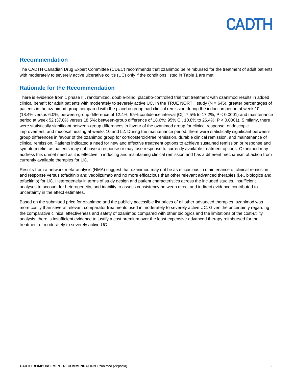### **Recommendation**

The CADTH Canadian Drug Expert Committee (CDEC) recommends that ozanimod be reimbursed for the treatment of adult patients with moderately to severely active ulcerative colitis (UC) only if the conditions listed in [Table 1](#page-3-0) are met.

## **Rationale for the Recommendation**

There is evidence from 1 phase III, randomized, double-blind, placebo-controlled trial that treatment with ozanimod results in added clinical benefit for adult patients with moderately to severely active UC. In the TRUE NORTH study ( $N = 645$ ), greater percentages of patients in the ozanimod group compared with the placebo group had clinical remission during the induction period at week 10 (18.4% versus 6.0%; between-group difference of 12.4%; 95% confidence interval [CI], 7.5% to 17.2%; P < 0.0001) and maintenance period at week 52 (37.0% versus 18.5%; between-group difference of 18.6%; 95% CI, 10.8% to 26.4%; P < 0.0001). Similarly, there were statistically significant between-group differences in favour of the ozanimod group for clinical response, endoscopic improvement, and mucosal healing at weeks 10 and 52. During the maintenance period, there were statistically significant betweengroup differences in favour of the ozanimod group for corticosteroid-free remission, durable clinical remission, and maintenance of clinical remission. Patients indicated a need for new and effective treatment options to achieve sustained remission or response and symptom relief as patients may not have a response or may lose response to currently available treatment options. Ozanimod may address this unmet need as it is effective in inducing and maintaining clinical remission and has a different mechanism of action from currently available therapies for UC.

Results from a network meta-analysis (NMA) suggest that ozanimod may not be as efficacious in maintenance of clinical remission and response versus tofacitinib and vedolizumab and no more efficacious than other relevant advanced therapies (i.e., biologics and tofacitinib) for UC. Heterogeneity in terms of study design and patient characteristics across the included studies, insufficient analyses to account for heterogeneity, and inability to assess consistency between direct and indirect evidence contributed to uncertainty in the effect estimates.

Based on the submitted price for ozanimod and the publicly accessible list prices of all other advanced therapies, ozanimod was more costly than several relevant comparator treatments used in moderately to severely active UC. Given the uncertainty regarding the comparative clinical effectiveness and safety of ozanimod compared with other biologics and the limitations of the cost-utility analysis, there is insufficient evidence to justify a cost premium over the least expensive advanced therapy reimbursed for the treatment of moderately to severely active UC.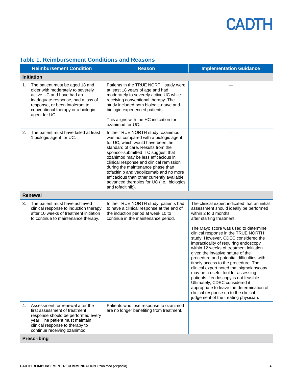|    | <b>Reimbursement Condition</b>                                                                                                                                                                                                    | <b>Reason</b>                                                                                                                                                                                                                                                                                                                                                                                                                                                                    | <b>Implementation Guidance</b>                                                                                                                                                                                                                                                                                                                                                                                                                                                                                                                                                                                                                                                                                                                                            |  |  |  |
|----|-----------------------------------------------------------------------------------------------------------------------------------------------------------------------------------------------------------------------------------|----------------------------------------------------------------------------------------------------------------------------------------------------------------------------------------------------------------------------------------------------------------------------------------------------------------------------------------------------------------------------------------------------------------------------------------------------------------------------------|---------------------------------------------------------------------------------------------------------------------------------------------------------------------------------------------------------------------------------------------------------------------------------------------------------------------------------------------------------------------------------------------------------------------------------------------------------------------------------------------------------------------------------------------------------------------------------------------------------------------------------------------------------------------------------------------------------------------------------------------------------------------------|--|--|--|
|    | <b>Initiation</b>                                                                                                                                                                                                                 |                                                                                                                                                                                                                                                                                                                                                                                                                                                                                  |                                                                                                                                                                                                                                                                                                                                                                                                                                                                                                                                                                                                                                                                                                                                                                           |  |  |  |
| 1. | The patient must be aged 18 and<br>older with moderately to severely<br>active UC and have had an<br>inadequate response, had a loss of<br>response, or been intolerant to<br>conventional therapy or a biologic<br>agent for UC. | Patients in the TRUE NORTH study were<br>at least 18 years of age and had<br>moderately to severely active UC while<br>receiving conventional therapy. The<br>study included both biologic-naïve and<br>biologic-experienced patients.<br>This aligns with the HC indication for<br>ozanimod for UC.                                                                                                                                                                             |                                                                                                                                                                                                                                                                                                                                                                                                                                                                                                                                                                                                                                                                                                                                                                           |  |  |  |
| 2. | The patient must have failed at least<br>1 biologic agent for UC.                                                                                                                                                                 | In the TRUE NORTH study, ozanimod<br>was not compared with a biologic agent<br>for UC, which would have been the<br>standard of care. Results from the<br>sponsor-submitted ITC suggest that<br>ozanimod may be less efficacious in<br>clinical response and clinical remission<br>during the maintenance phase than<br>tofacitinib and vedolizumab and no more<br>efficacious than other currently available<br>advanced therapies for UC (i.e., biologics<br>and tofacitinib). |                                                                                                                                                                                                                                                                                                                                                                                                                                                                                                                                                                                                                                                                                                                                                                           |  |  |  |
|    | <b>Renewal</b>                                                                                                                                                                                                                    |                                                                                                                                                                                                                                                                                                                                                                                                                                                                                  |                                                                                                                                                                                                                                                                                                                                                                                                                                                                                                                                                                                                                                                                                                                                                                           |  |  |  |
| 3. | The patient must have achieved<br>clinical response to induction therapy<br>after 10 weeks of treatment initiation<br>to continue to maintenance therapy.                                                                         | In the TRUE NORTH study, patients had<br>to have a clinical response at the end of<br>the induction period at week 10 to<br>continue in the maintenance period.                                                                                                                                                                                                                                                                                                                  | The clinical expert indicated that an initial<br>assessment should ideally be performed<br>within 2 to 3 months<br>after starting treatment.<br>The Mayo score was used to determine<br>clinical response in the TRUE NORTH<br>study. However, CDEC considered the<br>impracticality of requiring endoscopy<br>within 12 weeks of treatment initiation<br>given the invasive nature of the<br>procedure and potential difficulties with<br>timely access to the procedure. The<br>clinical expert noted that sigmoidoscopy<br>may be a useful tool for assessing<br>patients if endoscopy is not feasible.<br>Ultimately, CDEC considered it<br>appropriate to leave the determination of<br>clinical response up to the clinical<br>judgement of the treating physician. |  |  |  |
| 4. | Assessment for renewal after the<br>first assessment of treatment<br>response should be performed every<br>year. The patient must maintain<br>clinical response to therapy to<br>continue receiving ozanimod.                     | Patients who lose response to ozanimod<br>are no longer benefiting from treatment.                                                                                                                                                                                                                                                                                                                                                                                               |                                                                                                                                                                                                                                                                                                                                                                                                                                                                                                                                                                                                                                                                                                                                                                           |  |  |  |
|    | <b>Prescribing</b>                                                                                                                                                                                                                |                                                                                                                                                                                                                                                                                                                                                                                                                                                                                  |                                                                                                                                                                                                                                                                                                                                                                                                                                                                                                                                                                                                                                                                                                                                                                           |  |  |  |

## <span id="page-3-0"></span>**Table 1. Reimbursement Conditions and Reasons**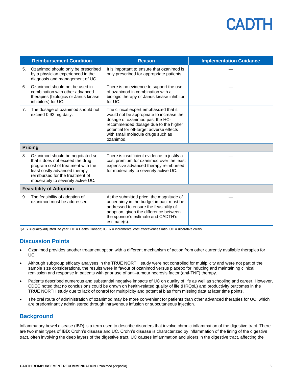|                                | <b>Reimbursement Condition</b>                                                                                                                                                                                      | <b>Reason</b>                                                                                                                                                                                                                                               | <b>Implementation Guidance</b> |  |
|--------------------------------|---------------------------------------------------------------------------------------------------------------------------------------------------------------------------------------------------------------------|-------------------------------------------------------------------------------------------------------------------------------------------------------------------------------------------------------------------------------------------------------------|--------------------------------|--|
| 5.                             | Ozanimod should only be prescribed<br>by a physician experienced in the<br>diagnosis and management of UC.                                                                                                          | It is important to ensure that ozanimod is<br>only prescribed for appropriate patients.                                                                                                                                                                     |                                |  |
| 6.                             | Ozanimod should not be used in<br>combination with other advanced<br>therapies (biologics or Janus kinase<br>inhibitors) for UC.                                                                                    | There is no evidence to support the use<br>of ozanimod in combination with a<br>biologic therapy or Janus kinase inhibitor<br>for UC.                                                                                                                       |                                |  |
| 7.                             | The dosage of ozanimod should not<br>exceed 0.92 mg daily.                                                                                                                                                          | The clinical expert emphasized that it<br>would not be appropriate to increase the<br>dosage of ozanimod past the HC-<br>recommended dosage due to the higher<br>potential for off-target adverse effects<br>with small molecule drugs such as<br>ozanimod. |                                |  |
| <b>Pricing</b>                 |                                                                                                                                                                                                                     |                                                                                                                                                                                                                                                             |                                |  |
| 8.                             | Ozanimod should be negotiated so<br>that it does not exceed the drug<br>program cost of treatment with the<br>least costly advanced therapy<br>reimbursed for the treatment of<br>moderately to severely active UC. | There is insufficient evidence to justify a<br>cost premium for ozanimod over the least<br>expensive advanced therapy reimbursed<br>for moderately to severely active UC.                                                                                   |                                |  |
| <b>Feasibility of Adoption</b> |                                                                                                                                                                                                                     |                                                                                                                                                                                                                                                             |                                |  |
| 9.                             | The feasibility of adoption of<br>ozanimod must be addressed                                                                                                                                                        | At the submitted price, the magnitude of<br>uncertainty in the budget impact must be<br>addressed to ensure the feasibility of<br>adoption, given the difference between<br>the sponsor's estimate and CADTH's<br>estimate(s).                              |                                |  |

QALY = quality-adjusted life year; HC = Health Canada; ICER = incremental cost-effectiveness ratio; UC = ulcerative colitis.

## **Discussion Points**

- Ozanimod provides another treatment option with a different mechanism of action from other currently available therapies for UC.
- Although subgroup efficacy analyses in the TRUE NORTH study were not controlled for multiplicity and were not part of the sample size considerations, the results were in favour of ozanimod versus placebo for inducing and maintaining clinical remission and response in patients with prior use of anti–tumour necrosis factor (anti-TNF) therapy.
- Patients described numerous and substantial negative impacts of UC on quality of life as well as schooling and career. However, CDEC noted that no conclusions could be drawn on health-related quality of life (HRQoL) and productivity outcomes in the TRUE NORTH study due to lack of control for multiplicity and potential bias from missing data at later time points.
- The oral route of administration of ozanimod may be more convenient for patients than other advanced therapies for UC, which are predominantly administered through intravenous infusion or subcutaneous injection.

### **Background**

Inflammatory bowel disease (IBD) is a term used to describe disorders that involve chronic inflammation of the digestive tract. There are two main types of IBD: Crohn's disease and UC. Crohn's disease is characterized by inflammation of the lining of the digestive tract, often involving the deep layers of the digestive tract. UC causes inflammation and ulcers in the digestive tract, affecting the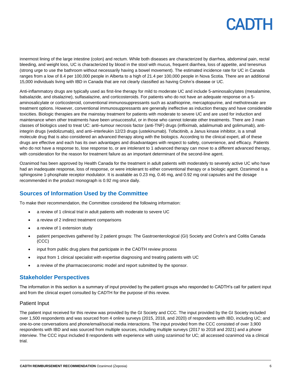innermost lining of the large intestine (colon) and rectum. While both diseases are characterized by diarrhea, abdominal pain, rectal bleeding, and weight loss, UC is characterized by blood in the stool with mucus, frequent diarrhea, loss of appetite, and tenesmus (strong urge to use the bathroom without necessarily having a bowel movement). The estimated incidence rate for UC in Canada ranges from a low of 8.4 per 100,000 people in Alberta to a high of 21.4 per 100,000 people in Nova Scotia. There are an additional 15,000 individuals living with IBD in Canada that are not clearly classified as having Crohn's disease or UC.

Anti-inflammatory drugs are typically used as first-line therapy for mild to moderate UC and include 5-aminosalicylates (mesalamine, balsalazide, and olsalazine), sulfasalazine, and corticosteroids. For patients who do not have an adequate response on a 5 aminosalicylate or corticosteroid, conventional immunosuppressants such as azathioprine, mercaptopurine, and methotrexate are treatment options. However, conventional immunosuppressants are generally ineffective as induction therapy and have considerable toxicities. Biologic therapies are the mainstay treatment for patients with moderate to severe UC and are used for induction and maintenance when other treatments have been unsuccessful, or in those who cannot tolerate other treatments. There are 3 main classes of biologics used to treat UC: anti–tumour necrosis factor (anti-TNF) drugs (infliximab, adalimumab and golimumab), antiintegrin drugs (vedolizumab), and anti–interleukin 12/23 drugs (ustekinumab). Tofacitinib, a Janus kinase inhibitor, is a small molecule drug that is also considered an advanced therapy along with the biologics. According to the clinical expert, all of these drugs are effective and each has its own advantages and disadvantages with respect to safety, convenience, and efficacy. Patients who do not have a response to, lose response to, or are intolerant to 1 advanced therapy can move to a different advanced therapy, with consideration for the reason for treatment failure as an important determinant of the second-line agent.

Ozanimod has been approved by Health Canada for the treatment in adult patients with moderately to severely active UC who have had an inadequate response, loss of response, or were intolerant to either conventional therapy or a biologic agent. Ozanimod is a sphingosine 1-phosphate receptor modulator. It is available as 0.23 mg, 0.46 mg, and 0.92 mg oral capsules and the dosage recommended in the product monograph is 0.92 mg once daily.

## **Sources of Information Used by the Committee**

To make their recommendation, the Committee considered the following information:

- a review of 1 clinical trial in adult patients with moderate to severe UC
- a review of 2 indirect treatment comparisons
- a review of 1 extension study
- patient perspectives gathered by 2 patient groups: The Gastroenterological (GI) Society and Crohn's and Colitis Canada (CCC)
- input from public drug plans that participate in the CADTH review process
- input from 1 clinical specialist with expertise diagnosing and treating patients with UC
- a review of the pharmacoeconomic model and report submitted by the sponsor.

### **Stakeholder Perspectives**

The information in this section is a summary of input provided by the patient groups who responded to CADTH's call for patient input and from the clinical expert consulted by CADTH for the purpose of this review.

### Patient Input

The patient input received for this review was provided by the GI Society and CCC. The input provided by the GI Society included over 1,500 respondents and was sourced from 4 online surveys (2015, 2018, and 2020) of respondents with IBD, including UC; and one-to-one conversations and phone/email/social media interactions. The input provided from the CCC consisted of over 3,900 respondents with IBD and was sourced from multiple sources, including multiple surveys (2017 to 2018 and 2021) and a phone interview. The CCC input included 8 respondents with experience with using ozanimod for UC; all accessed ozanimod via a clinical trial.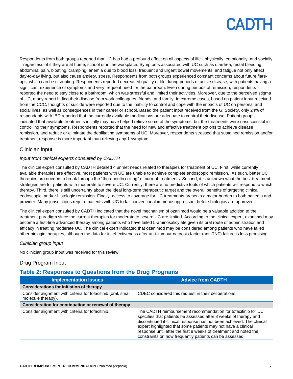Respondents from both groups reported that UC has had a profound effect on all aspects of life - physically, emotionally, and socially – regardless of if they are at home, school or in the workplace. Symptoms associated with UC such as diarrhea, rectal bleeding, abdominal pain, bloating, cramping, anemia due to blood loss, frequent and urgent bowel movements, and fatigue not only affect day-to-day living, but also cause anxiety, stress. Respondents from both groups experienced constant concerns about future flareups, which can be disrupting. Respondents reported decreased quality of life during periods of active disease, with patients having a significant experience of symptoms and very frequent need for the bathroom. Even during periods of remission, respondents reported the need to stay close to a bathroom, which was stressful and limited their activities. Moreover, due to the perceived stigma of UC, many report hiding their disease from work colleagues, friends, and family. In extreme cases, based on patient input received from the CCC, thoughts of suicide were reported due to the inability to control and cope with the impacts of UC on personal and social lives, as well as consequences in their career or school. Based the patient input received from the GI Society, only 24% of respondents with IBD reported that the currently available medications are adequate to control their disease. Patient groups indicated that available treatments initially may have helped relieve some of the symptoms, but the treatments were unsuccessful in controlling their symptoms. Respondents reported that the need for new and effective treatment options to achieve disease remission, and reduce or eliminate the debilitating symptoms of UC. Moreover, respondents stressed that sustained remission and/or treatment response is more important than relieving any 1 symptom.

### Clinician input

#### *Input from clinical experts consulted by CADTH*

The clinical expert consulted by CADTH detailed 4 unmet needs related to therapies for treatment of UC. First, while currently available therapies are effective, most patients with UC are unable to achieve complete endoscopic remission. As such, better UC therapies are needed to break through the "therapeutic ceiling" of current treatments. Second, it is unknown what the best treatment strategies are for patients with moderate to severe UC. Currently, there are no predictive tools of which patients will respond to which therapy. Third, there is still uncertainty about the ideal long-term therapeutic target and the overall benefits of targeting clinical, endoscopic, and/or histologic remission. Finally, access to coverage for UC treatments presents a major burden to both patients and provider. Many jurisdictions require patients with UC to fail conventional immunosuppressant before biologics are approved.

The clinical expert consulted by CADTH indicated that the novel mechanism of ozanimod would be a valuable addition to the treatment paradigm since the current therapies for moderate to severe UC are limited. According to the clinical expert, ozanimod may become a first-line advanced therapy among patients who have failed 5-aminosalicylate given its oral route of administration and efficacy in treating moderate UC. The clinical expert indicated that ozanimod may be considered among patients who have failed other biologic therapies, although the data for its effectiveness after anti–tumour necrosis factor (anti-TNF) failure is less promising.

#### *Clinician group input*

No clinician group input was received for this review.

### Drug Program Input

## **Table 2: Responses to Questions from the Drug Programs**

| <b>Implementation Issues</b>                                                        | <b>Advice from CADTH</b>                                                                                                                                                                                                                                                                                                                                                                                    |  |
|-------------------------------------------------------------------------------------|-------------------------------------------------------------------------------------------------------------------------------------------------------------------------------------------------------------------------------------------------------------------------------------------------------------------------------------------------------------------------------------------------------------|--|
| <b>Considerations for initiation of therapy</b>                                     |                                                                                                                                                                                                                                                                                                                                                                                                             |  |
| Consider alignment with criteria for tofacitinib (oral, small<br>molecule therapy). | CDEC considered this request in their deliberations.                                                                                                                                                                                                                                                                                                                                                        |  |
| Consideration for continuation or renewal of therapy                                |                                                                                                                                                                                                                                                                                                                                                                                                             |  |
| Consider alignment with criteria for tofacitinib.                                   | The CADTH reimbursement recommendation for tofacitinib for UC<br>specifies that patients be assessed after 8 weeks of therapy and<br>discontinued if clinical response has not been achieved. The clinical<br>expert highlighted that some patients may not have a clinical<br>response until after the first 8 weeks of treatment and noted the<br>constraints on how frequently patients can be assessed. |  |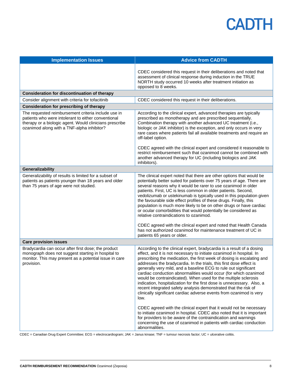| <b>Implementation Issues</b>                                                                                                                                                                                        | <b>Advice from CADTH</b>                                                                                                                                                                                                                                                                                                                                                                                                                                                                                                                                                                                                                                                                                                                                                                   |
|---------------------------------------------------------------------------------------------------------------------------------------------------------------------------------------------------------------------|--------------------------------------------------------------------------------------------------------------------------------------------------------------------------------------------------------------------------------------------------------------------------------------------------------------------------------------------------------------------------------------------------------------------------------------------------------------------------------------------------------------------------------------------------------------------------------------------------------------------------------------------------------------------------------------------------------------------------------------------------------------------------------------------|
|                                                                                                                                                                                                                     | CDEC considered this request in their deliberations and noted that                                                                                                                                                                                                                                                                                                                                                                                                                                                                                                                                                                                                                                                                                                                         |
|                                                                                                                                                                                                                     | assessment of clinical response during induction in the TRUE<br>NORTH study occurred 10 weeks after treatment initiation as<br>opposed to 8 weeks.                                                                                                                                                                                                                                                                                                                                                                                                                                                                                                                                                                                                                                         |
| <b>Consideration for discontinuation of therapy</b>                                                                                                                                                                 |                                                                                                                                                                                                                                                                                                                                                                                                                                                                                                                                                                                                                                                                                                                                                                                            |
| Consider alignment with criteria for tofacitinib                                                                                                                                                                    | CDEC considered this request in their deliberations.                                                                                                                                                                                                                                                                                                                                                                                                                                                                                                                                                                                                                                                                                                                                       |
| <b>Consideration for prescribing of therapy</b>                                                                                                                                                                     |                                                                                                                                                                                                                                                                                                                                                                                                                                                                                                                                                                                                                                                                                                                                                                                            |
| The requested reimbursement criteria include use in<br>patients who were intolerant to either conventional<br>therapy or a biologic agent. Would clinicians prescribe<br>ozanimod along with a TNF-alpha inhibitor? | According to the clinical expert, advanced therapies are typically<br>prescribed as monotherapy and are prescribed sequentially.<br>Combination therapy with another advanced UC treatment (i.e.,<br>biologic or JAK inhibitor) is the exception, and only occurs in very<br>rare cases where patients fail all available treatments and require an<br>off-label option.                                                                                                                                                                                                                                                                                                                                                                                                                   |
|                                                                                                                                                                                                                     | CDEC agreed with the clinical expert and considered it reasonable to<br>restrict reimbursement such that ozanimod cannot be combined with<br>another advanced therapy for UC (including biologics and JAK<br>inhibitors).                                                                                                                                                                                                                                                                                                                                                                                                                                                                                                                                                                  |
| Generalizability                                                                                                                                                                                                    |                                                                                                                                                                                                                                                                                                                                                                                                                                                                                                                                                                                                                                                                                                                                                                                            |
| Generalizability of results is limited for a subset of<br>patients as patients younger than 18 years and older<br>than 75 years of age were not studied.                                                            | The clinical expert noted that there are other options that would be<br>potentially better suited for patients over 75 years of age. There are<br>several reasons why it would be rarer to use ozanimod in older<br>patients. First, UC is less common in older patients. Second,<br>vedolizumab or ustekinumab is typically used in this population given<br>the favourable side effect profiles of these drugs. Finally, this<br>population is much more likely to be on other drugs or have cardiac<br>or ocular comorbidities that would potentially be considered as<br>relative contraindications to ozanimod.<br>CDEC agreed with the clinical expert and noted that Health Canada<br>has not authorized ozanimod for maintenance treatment of UC in<br>patients 65 years or older. |
| <b>Care provision issues</b>                                                                                                                                                                                        |                                                                                                                                                                                                                                                                                                                                                                                                                                                                                                                                                                                                                                                                                                                                                                                            |
| Bradycardia can occur after first dose; the product<br>monograph does not suggest starting in hospital to<br>monitor. This may present as a potential issue in care<br>provision.                                   | According to the clinical expert, bradycardia is a result of a dosing<br>effect, and it is not necessary to initiate ozanimod in hospital. In<br>prescribing the medication, the first week of dosing is escalating and<br>addresses the bradycardia. In the trials, this first dose effect is<br>generally very mild, and a baseline ECG to rule out significant<br>cardiac conduction abnormalities would occur (for which ozanimod<br>would be contraindicated). When used for the multiple sclerosis<br>indication, hospitalization for the first dose is unnecessary. Also, a<br>recent integrated safety analysis demonstrated that the risk of<br>clinically significant cardiac adverse events from ozanimod is very<br>low.                                                       |
|                                                                                                                                                                                                                     | CDEC agreed with the clinical expert that it would not be necessary<br>to initiate ozanimod in hospital. CDEC also noted that it is important<br>for providers to be aware of the contraindication and warnings<br>concerning the use of ozanimod in patients with cardiac conduction<br>abnormalities.                                                                                                                                                                                                                                                                                                                                                                                                                                                                                    |

CDEC = Canadian Drug Expert Committee; ECG = electrocardiogram; JAK = Janus kinase; TNF = tumour necrosis factor; UC = ulcerative colitis.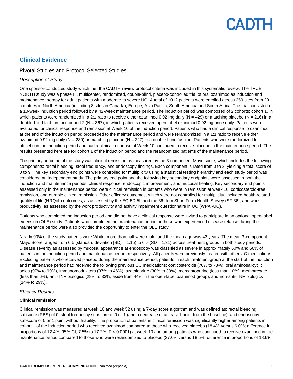## **Clinical Evidence**

### Pivotal Studies and Protocol Selected Studies

#### *Description of Study*

One sponsor-conducted study which met the CADTH review protocol criteria was included in this systematic review. The TRUE NORTH study was a phase III, multicenter, randomized, double-blind, placebo-controlled trial of oral ozanimod as induction and maintenance therapy for adult patients with moderate to severe UC. A total of 1012 patients were enrolled across 250 sites from 29 countries in North America (including 8 sites in Canada), Europe, Asia Pacific, South America and South Africa. The trial consisted of a 10-week induction period followed by a 42-week maintenance period. The induction period was composed of 2 cohorts: cohort 1, in which patients were randomized in a 2:1 ratio to receive either ozanimod 0.92 mg daily ( $N = 429$ ) or matching placebo ( $N = 216$ ) in a double-blind fashion; and cohort 2 (N = 367), in which patients received open-label ozanimod 0.92 mg once daily. Patients were evaluated for clinical response and remission at Week 10 of the induction period. Patients who had a clinical response to ozanimod at the end of the induction period proceeded to the maintenance period and were rerandomized in a 1:1 ratio to receive either ozanimod 0.92 mg daily (N = 230) or matching placebo (N = 227) in a double-blind fashion. Patients who were randomized to placebo in the induction period and had a clinical response at Week 10 continued to receive placebo in the maintenance period. The results presented here are for cohort 1 of the induction period and the rerandomized patients of the maintenance period.

The primary outcome of the study was clinical remission as measured by the 3-component Mayo score, which includes the following components: rectal bleeding, stool frequency, and endoscopy findings. Each component is rated from 0 to 3, yielding a total score of 0 to 9. The key secondary end points were controlled for multiplicity using a statistical testing hierarchy and each study period was considered an independent study. The primary end point and the following key secondary endpoints were assessed in both the induction and maintenance periods: clinical response, endoscopic improvement, and mucosal healing. Key secondary end points assessed only in the maintenance period were clinical remission in patients who were in remission at week 10, corticosteroid-free remission, and durable clinical remission. Other efficacy outcomes, which were not controlled for multiplicity, included health-related quality of life (HRQoL) outcomes, as assessed by the EQ-5D-5L and the 36-Item Short Form Health Survey (SF-36), and work productivity, as assessed by the work productivity and activity impairment questionnaire in UC (WPAI-UC).

Patients who completed the induction period and did not have a clinical response were invited to participate in an optional open-label extension (OLE) study. Patients who completed the maintenance period or those who experienced disease relapse during the maintenance period were also provided the opportunity to enter the OLE study.

Nearly 90% of the study patients were White, more than half were male, and the mean age was 42 years. The mean 3-component Mayo Score ranged from 6.6 (standard deviation  $[SD] = 1.15$ ) to 6.7 (SD = 1.31) across treatment groups in both study periods. Disease severity as assessed by mucosal appearance at endoscopy was classified as severe in approximately 60% and 50% of patients in the induction period and maintenance period, respectively. All patients were previously treated with other UC medications. Excluding patients who received placebo during the maintenance period, patients in each treatment group at the start of the induction and maintenance period had received the following previous UC medications: corticosteroids (70% to 78%), oral aminosalicyclic acids (97% to 99%), immunomodulators (37% to 46%), azathioprine (30% to 38%), mercaptopurine (less than 10%), methotrexate (less than 6%), anti-TNF biologics (28% to 33%, aside from 44% in the open-label ozanimod group), and non-anti-TNF biologics (14% to 29%).

#### *Efficacy Results*

#### **Clinical remission**

Clinical remission was measured at week 10 and week 52 using a 7-day score algorithm and was defined as: rectal bleeding subscore (RBS) of 0, stool frequency subscore of 0 or 1 (and a decrease of at least 1 point from the baseline), and endoscopy subscore of 0 or 1 point without friability. The proportion of patients in clinical remission was significantly higher among patients in cohort 1 of the induction period who received ozanimod compared to those who received placebo (18.4% versus 6.0%; difference in proportions of 12.4%; 95% CI, 7.5% to 17.2%; P < 0.0001) at week 10 and among patients who continued to receive ozanimod in the maintenance period compared to those who were rerandomized to placebo (37.0% versus 18.5%; difference in proportions of 18.6%;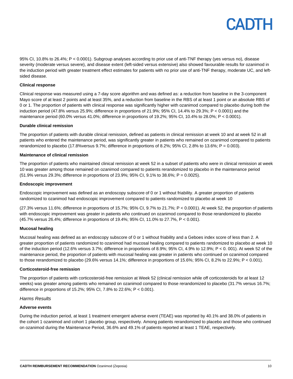95% CI, 10.8% to 26.4%; P < 0.0001). Subgroup analyses according to prior use of anti-TNF therapy (yes versus no), disease severity (moderate versus severe), and disease extent (left-sided versus extensive) also showed favourable results for ozanimod in the induction period with greater treatment effect estimates for patients with no prior use of anti-TNF therapy, moderate UC, and leftsided disease.

#### **Clinical response**

Clinical response was measured using a 7-day score algorithm and was defined as: a reduction from baseline in the 3-component Mayo score of at least 2 points and at least 35%, and a reduction from baseline in the RBS of at least 1 point or an absolute RBS of 0 or 1. The proportion of patients with clinical response was significantly higher with ozanimod compared to placebo during both the induction period (47.8% versus 25.9%; difference in proportions of 21.9%; 95% CI, 14.4% to 29.3%; P < 0.0001) and the maintenance period (60.0% versus 41.0%; difference in proportions of 19.2%; 95% CI, 10.4% to 28.0%; P < 0.0001).

#### **Durable clinical remission**

The proportion of patients with durable clinical remission, defined as patients in clinical remission at week 10 and at week 52 in all patients who entered the maintenance period, was significantly greater in patients who remained on ozanimod compared to patients rerandomized to placebo (17.8%versus 9.7%; difference in proportions of 8.2%; 95% CI, 2.8% to 13.6%; P = 0.003).

#### **Maintenance of clinical remission**

The proportion of patients who maintained clinical remission at week 52 in a subset of patients who were in clinical remission at week 10 was greater among those remained on ozanimod compared to patients rerandomized to placebo in the maintenance period (51.9% versus 29.3%; difference in proportions of 23.9%; 95% CI, 9.1% to 38.6%; P = 0.0025).

#### **Endoscopic improvement**

Endoscopic improvement was defined as an endoscopy subscore of 0 or 1 without friability. A greater proportion of patients randomized to ozanimod had endoscopic improvement compared to patients randomized to placebo at week 10

(27.3% versus 11.6%; difference in proportions of 15.7%; 95% CI, 9.7% to 21.7%; P < 0.0001). At week 52, the proportion of patients with endoscopic improvement was greater in patients who continued on ozanimod compared to those rerandomized to placebo (45.7% versus 26.4%; difference in proportions of 19.4%; 95% CI, 11.0% to 27.7%, P < 0.001).

#### **Mucosal healing**

Mucosal healing was defined as an endoscopy subscore of 0 or 1 without friability and a Geboes index score of less than 2. A greater proportion of patients randomized to ozanimod had mucosal healing compared to patients randomized to placebo at week 10 of the induction period (12.6% versus 3.7%; difference in proportions of 8.9%; 95% CI, 4.9% to 12.9%; P < 0. 001). At week 52 of the maintenance period, the proportion of patients with mucosal healing was greater in patients who continued on ozanimod compared to those rerandomized to placebo (29.6% versus 14.1%; difference in proportions of 15.6%; 95% CI, 8.2% to 22.9%; P < 0.001).

#### **Corticosteroid-free remission**

The proportion of patients with corticosteroid-free remission at Week 52 (clinical remission while off corticosteroids for at least 12 weeks) was greater among patients who remained on ozanimod compared to those rerandomized to placebo (31.7% versus 16.7%; difference in proportions of 15.2%; 95% CI, 7.8% to 22.6%; P < 0.001).

#### *Harms Results*

#### **Adverse events**

During the induction period, at least 1 treatment emergent adverse event (TEAE) was reported by 40.1% and 38.0% of patients in the cohort 1 ozanimod and cohort 1 placebo group, respectively. Among patients rerandomized to placebo and those who continued on ozanimod during the Maintenance Period, 36.6% and 49.1% of patients reported at least 1 TEAE, respectively.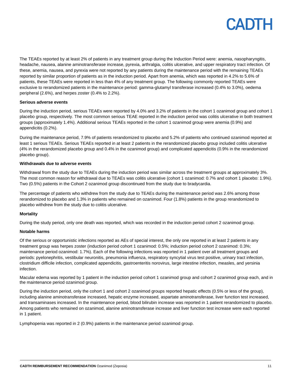

The TEAEs reported by at least 2% of patients in any treatment group during the Induction Period were: anemia, nasopharyngitis, headache, nausea, alanine aminotransferase increase, pyrexia, arthralgia, colitis ulcerative, and upper respiratory tract infection. Of these, anemia, nausea, and pyrexia were not reported by any patients during the maintenance period with the remaining TEAEs reported by similar proportion of patients as in the induction period. Apart from anemia, which was reported in 4.2% to 5.6% of patients, these TEAEs were reported in less than 4% of any treatment group. The following commonly reported TEAEs were exclusive to rerandomized patients in the maintenance period: gamma-glutamyl transferase increased (0.4% to 3.0%), oedema peripheral (2.6%), and herpes zoster (0.4% to 2.2%).

#### **Serious adverse events**

During the induction period, serious TEAEs were reported by 4.0% and 3.2% of patients in the cohort 1 ozanimod group and cohort 1 placebo group, respectively. The most common serious TEAE reported in the induction period was colitis ulcerative in both treatment groups (approximately 1.4%). Additional serious TEAEs reported in the cohort 1 ozanimod group were anemia (0.9%) and appendicitis (0.2%).

During the maintenance period, 7.9% of patients rerandomized to placebo and 5.2% of patients who continued ozanimod reported at least 1 serious TEAEs. Serious TEAEs reported in at least 2 patients in the rerandomized placebo group included colitis ulcerative (4% in the rerandomized placebo group and 0.4% in the ozanimod group) and complicated appendicitis (0.9% in the rerandomized placebo group).

#### **Withdrawals due to adverse events**

Withdrawal from the study due to TEAEs during the induction period was similar across the treatment groups at approximately 3%. The most common reason for withdrawal due to TEAEs was colitis ulcerative (cohort 1 ozanimod: 0.7% and cohort 1 placebo: 1.9%). Two (0.5%) patients in the Cohort 2 ozanimod group discontinued from the study due to bradycardia.

The percentage of patients who withdrew from the study due to TEAEs during the maintenance period was 2.6% among those rerandomized to placebo and 1.3% in patients who remained on ozanimod. Four (1.8%) patients in the group rerandomized to placebo withdrew from the study due to colitis ulcerative.

#### **Mortality**

During the study period, only one death was reported, which was recorded in the induction period cohort 2 ozanimod group.

#### **Notable harms**

Of the serious or opportunistic infections reported as AEs of special interest, the only one reported in at least 2 patients in any treatment group was herpes zoster (induction period cohort 1 ozanimod: 0.5%; induction period cohort 2 ozanimod: 0.3%; maintenance period ozanimod: 1.7%). Each of the following infections was reported in 1 patient over all treatment groups and periods: pyelonephritis, vestibular neuronitis, pneumonia influenza, respiratory syncytial virus test positive, urinary tract infection, clostridium difficile infection, complicated appendicitis, gastroenteritis norovirus, large intestine infection, measles, and yersinia infection.

Macular edema was reported by 1 patient in the induction period cohort 1 ozanimod group and cohort 2 ozanimod group each, and in the maintenance period ozanimod group.

During the induction period, only the cohort 1 and cohort 2 ozanimod groups reported hepatic effects (0.5% or less of the group), including alanine aminotransferase increased, hepatic enzyme increased, aspartate aminotransferase, liver function test increased, and transaminases increased. In the maintenance period, blood bilirubin increase was reported in 1 patient rerandomized to placebo. Among patients who remained on ozanimod, alanine aminotransferase increase and liver function test increase were each reported in 1 patient.

Lymphopenia was reported in 2 (0.9%) patients in the maintenance period ozanimod group.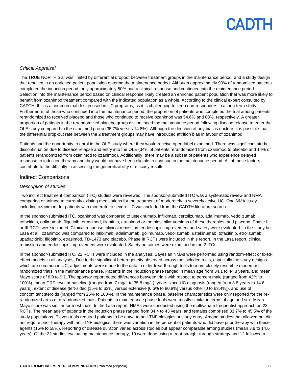### *Critical Appraisal*

The TRUE NORTH trial was limited by differential dropout between treatment groups in the maintenance period, and a study design that resulted in an enriched patient population entering the maintenance period. Although approximately 90% of randomized patients completed the induction period, only approximately 50% had a clinical response and continued into the maintenance period. Selection into the maintenance period based on clinical response likely created an enriched patient population that was more likely to benefit from ozanimod treatment compared with the indicated population as a whole. According to the clinical expert consulted by CADTH, this is a common trial design used in UC programs, as it is challenging to keep non-responders in a long-term study. Furthermore, of those who continued into the maintenance period, the proportion of patients who completed the trial among patients rerandomized to received placebo and those who continued to receive ozanimod was 54.6% and 80%, respectively. A greater proportion of patients in the rerandomized placebo group discontinued the maintenance period following disease relapse to enter the OLE study compared to the ozanimod group (35.7% versus 14.8%). Although the direction of any bias is unclear, it is possible that the differential drop-out rate between the 2 treatment groups may have introduced attrition bias in favour of ozanimod.

Patients had the opportunity to enrol in the OLE study where they would receive open-label ozanimod. There was significant study discontinuation due to disease relapse and entry into the OLE (34% of patients rerandomized from ozanimod to placebo and 14% of patients rerandomized from ozanimod to ozanimod). Additionally, there may be a subset of patients who experience delayed response to induction therapy and they would not have been eligible to continue in the maintenance period. All of these factors contribute to the difficulty in assessing the generalizability of efficacy results.

### Indirect Comparisons

#### *Description of studies*

Two indirect treatment comparison (ITC) studies were reviewed. The sponsor-submitted ITC was a systematic review and NMA comparing ozanimod to currently existing medications for the treatment of moderately to severely active UC. One NMA study including ozanimod, for patients with moderate to severe UC was included from the CADTH literature search.

In the sponsor-submitted ITC, ozanimod was compared to ustekinumab, infliximab, certolizumab, adalimumab, vedolizumab, tofacitinib, golimumab, filgotinib, etrasimod, filgotinib, etrasimod or the biosimilar versions of these therapies, and placebo. Phase II or III RCTs were included. Clinical response, clinical remission, endoscopic improvement and safety were evaluated. In the study be Lasa et al., ozanimod was compared to infliximab, adalimumab, golimumab, vedolizumab, ustekinumab, tofacitinib, etrolizumab, upadacitinib, filgotinib, etrasimod, TD-1473 and placebo. Phase III RCTs were included in this report. In the Lasa report, clinical remission and endoscopic improvement were evaluated. Safety outcomes were examined in the 2 ITCs.

In the sponsor-submitted ITC, 22 RCTs were included in the analyses. Bayesian NMAs were performed using random-effect or fixedeffect models in all analyses. Due to the significant heterogeneity observed across the included trials, especially the study designs which are common in UC, adjustments were made to the data in older treat-through trials to more closely resemble modern rerandomized trials in the maintenance phase. Patients in the induction phase ranged in mean age from 34.1 to 44.8 years, and mean Mayo score of 8.0 to 9.1. The sponsor report noted differences between trials with respect to percent male (ranged from 42% to 100%), mean CRP level at baseline (ranged from 7 mg/L to 35.8 mg/L), years since UC diagnosis (ranged from 3.8 years to 14.6 years), extent of disease (left-sided [15% to 63%] versus extensive [6.6% to 80.8%] versus other [0 to 63.4%]), and use of concomitant steroids (ranged from 25% to 100%). In the maintenance phase, baseline characteristics were only reported for the rerandomized arms of rerandomized trials. Patients in maintenance phase trials were mostly similar in terms of age and sex. Mean Mayo score was similar for most trials. In the Lasa report, NMAs were conducted using the multivariate frequentist approach on 23 RCTs. The mean age of patients in the induction phase ranged from 34.4 to 43 years, and females comprised 33.7% to 45.5% of the study populations. Eleven trials required patients to be naïve to anti-TNF biologics at study entry. Among studies that allowed but did not require prior therapy with anti-TNF biologics, there was variation in the percent of patients who did have prior therapy with these agents (15% to 58%). Reporting of disease duration varied across studies but appear comparable among studies (mean 3.8 to 14.6 years). Of the 22 studies evaluating maintenance therapy, 10 were done using a treat-straight-through strategy and 12 followed a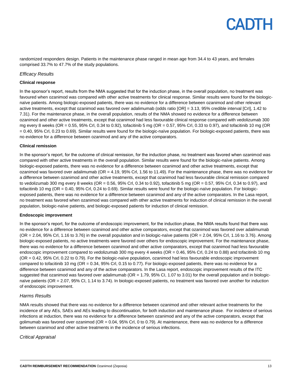randomized responders design. Patients in the maintenance phase ranged in mean age from 34.4 to 43 years, and females comprised 33.7% to 47.7% of the study populations.

#### *Efficacy Results*

#### **Clinical response**

In the sponsor's report, results from the NMA suggested that for the induction phase, in the overall population, no treatment was favoured when ozanimod was compared with other active treatments for clinical response. Similar results were found for the biologicnaïve patients. Among biologic-exposed patients, there was no evidence for a difference between ozanimod and other relevant active treatments, except that ozanimod was favored over adalimumab (odds ratio [OR] = 3.13, 95% credible interval [CrI], 1.42 to 7.31). For the maintenance phase, in the overall population, results of the NMA showed no evidence for a difference between ozanimod and other active treatments, except that ozanimod had less favourable clinical response compared with vedolizumab 300 mg every 8 weeks (OR = 0.55, 95% Crl, 0.34 to 0.92), tofacitinib 5 mg (OR = 0.57, 95% Crl, 0.33 to 0.97), and tofacitinib 10 mg (OR = 0.40, 95% Crl, 0.23 to 0.69). Similar results were found for the biologic-naïve population. For biologic-exposed patients, there was no evidence for a difference between ozanimod and any of the active comparators.

#### **Clinical remission**

In the sponsor's report, for the outcome of clinical remission, for the induction phase, no treatment was favored when ozanimod was compared with other active treatments in the overall population. Similar results were found for the biologic-naïve patients. Among biologic-exposed patients, there was no evidence for a difference between ozanimod and other active treatments, except that ozanimod was favored over adalimumab (OR = 4.19, 95% Crl, 1.56 to 11.49). For the maintenance phase, there was no evidence for a difference between ozanimod and other active treatments, except that ozanimod had less favourable clinical remission compared to vedolizumab 300 mg every 8 weeks (OR = 0.56, 95% Crl, 0.34 to 0.92), tofacitinib 5 mg (OR = 0.57, 95% Crl, 0.34 to 0.97), and tofacitinib 10 mg (OR = 0.40, 95% Crl, 0.24 to 0.69). Similar results were found for the biologic-naïve population. For biologicexposed patients, there was no evidence for a difference between ozanimod and any of the active comparators. In the Lasa report, no treatment was favored when ozanimod was compared with other active treatments for induction of clinical remission in the overall population, biologic-naïve patients, and biologic-exposed patients for induction of clinical remission.

#### **Endoscopic improvement**

In the sponsor's report, for the outcome of endoscopic improvement, for the induction phase, the NMA results found that there was no evidence for a difference between ozanimod and other active comparators, except that ozanimod was favored over adalimumab  $(OR = 2.04, 95\% \text{ Crl}, 1.16 \text{ to } 3.76)$  in the overall population and in biologic-naïve patients  $(OR = 2.04, 95\% \text{ Crl}, 1.16 \text{ to } 3.76)$ . Among biologic-exposed patients, no active treatments were favored over others for endoscopic improvement. For the maintenance phase, there was no evidence for a difference between ozanimod and other active comparators, except that ozanimod had less favourable endoscopic improvement compared to vedolizumab 300 mg every 4 weeks (OR = 0.46, 95% Crl, 0.24 to 0.88) and tofacitinib 10 mg (OR = 0.42, 95% Crl, 0.22 to 0.79). For the biologic-naïve population, ozanimod had less favourable endoscopic improvement compared to tofacitinib 10 mg (OR = 0.34, 95% Crl, 0.15 to 0.77). For biologic-exposed patients, there was no evidence for a difference between ozanimod and any of the active comparators. In the Lasa report, endoscopic improvement results of the ITC suggested that ozanimod was favored over adalimumab ( $OR = 1.79$ ,  $95\%$  CI, 1.07 to 3.01) for the overall population and in biologicnaïve patients (OR = 2.07, 95% CI, 1.14 to 3.74). In biologic-exposed patients, no treatment was favored over another for induction of endoscopic improvement.

#### *Harms Results*

NMA results showed that there was no evidence for a difference between ozanimod and other relevant active treatments for the incidence of any AEs, SAEs and AEs leading to discontinuation, for both induction and maintenance phase. For incidence of serious infections at induction, there was no evidence for a difference between ozanimod and any of the active comparators, except that golimumab was favored over ozanimod (OR = 0.04, 95% Crl, 0 to 0.79). At maintenance, there was no evidence for a difference between ozanimod and other active treatments in the incidence of serious infections.

#### *Critical Appraisal*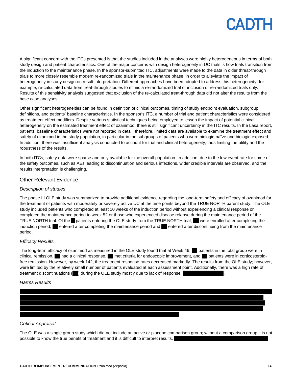A significant concern with the ITCs presented is that the studies included in the analyses were highly heterogeneous in terms of both study design and patient characteristics. One of the major concerns with design heterogeneity in UC trials is how trials transition from the induction to the maintenance phase. In the sponsor-submitted ITC, adjustments were made to the data in older threat-through trials to more closely resemble modern re-randomized trials in the maintenance phase, in order to alleviate the impact of heterogeneity in study design on result interpretation. Different approaches have been adopted to address this heterogeneity, for example, re-calculated data from treat-through studies to mimic a re-randomized trial or inclusion of re-randomized trials only. Results of this sensitivity analysis suggested that exclusion of the re-calculated treat-through data did not alter the results from the base case analyses.

Other significant heterogeneities can be found in definition of clinical outcomes, timing of study endpoint evaluation, subgroup definitions, and patients' baseline characteristics. In the sponsor's ITC, a number of trial and patient characteristics were considered as treatment effect modifiers. Despite various statistical techniques being employed to lessen the impact of potential clinical heterogeneity on the estimated treatment effect of ozanimod, there is still significant uncertainty in the ITC results. In the Lasa report, patients' baseline characteristics were not reported in detail; therefore, limited data are available to examine the treatment effect and safety of ozanimod in the study population, in particular in the subgroups of patients who were biologic-naïve and biologic-exposed. In addition, there was insufficient analysis conducted to account for trial and clinical heterogeneity, thus limiting the utility and the robustness of the results.

In both ITCs, safety data were sparse and only available for the overall population. In addition, due to the low event rate for some of the safety outcomes, such as AEs leading to discontinuation and serious infections, wider credible intervals are observed, and the results interpretation is challenging.

#### Other Relevant Evidence

#### *Description of studies*

The phase III OLE study was summarized to provide additional evidence regarding the long-term safety and efficacy of ozanimod for the treatment of patients with moderately or severely active UC at the time points beyond the TRUE NORTH parent study. The OLE study included patients who completed at least 10 weeks of the induction period without experiencing a clinical response or completed the maintenance period to week 52 or those who experienced disease relapse during the maintenance period of the TRUE NORTH trial. Of the patients entering the OLE study from the TRUE NORTH trial, were enrolled after completing the induction period, entered after completing the maintenance period and entered after discontinuing from the maintenance period.

#### *Efficacy Results*

The long-term efficacy of ozanimod as measured in the OLE study found that at Week 46, patients in the total group were in clinical remission, had a clinical response, met criteria for endoscopic improvement, and patients were in corticosteroidfree remission. However, by week 142, the treatment response rates decreased markedly. The results from the OLE study; however, were limited by the relatively small number of patients evaluated at each assessment point. Additionally, there was a high rate of treatment discontinuations (|a) during the OLE study mostly due to lack of response,

#### *Harms Results*



### *Critical Appraisal*

The OLE was a single group study which did not include an active or placebo comparison group; without a comparison group it is not possible to know the true benefit of treatment and it is difficult to interpret results.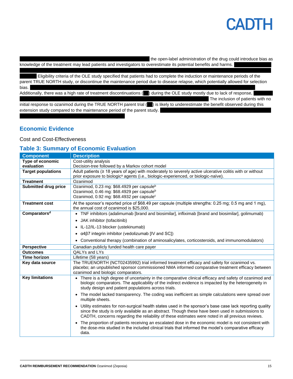If the open-label administration of the drug could introduce bias as knowledge of the treatment may lead patients and investigators to overestimate its potential benefits and harms.

Eligibility criteria of the OLE study specified that patients had to complete the induction or maintenance periods of the parent TRUE NORTH study, or discontinue the maintenance period due to disease relapse, which potentially allowed for selection bias. |||||||| ||| ||| ||| |||| | ||||||||| |||||||| || ||||| ||||| ||||| ||||||||||| ||| ||||| ||||||||| || || |||||||| ||||||||||| ||| |||||||| |||| ||| |||||||| ||||| || ||| |||| ||||| ||||| || |||| ||| Additionally, there was a high rate of treatment discontinuations ( $\Box$ ) during the OLE study mostly due to lack of response, The inclusion of patients with no

initial response to ozanimod during the TRUE NORTH parent trial () is likely to underestimate the benefit observed during this extension study compared to the maintenance period of the parent study.

## **Economic Evidence**

#### Cost and Cost-Effectiveness

### **Table 3: Summary of Economic Evaluation**

| <b>Component</b>            | <b>Description</b>                                                                                                                                                                                                      |
|-----------------------------|-------------------------------------------------------------------------------------------------------------------------------------------------------------------------------------------------------------------------|
| Type of economic            | Cost-utility analysis                                                                                                                                                                                                   |
| evaluation                  | Decision-tree followed by a Markov cohort model                                                                                                                                                                         |
| <b>Target populations</b>   | Adult patients ( $\geq 18$ years of age) with moderately to severely active ulcerative colitis with or without                                                                                                          |
|                             | prior exposure to biologic <sup>a</sup> agents (i.e., biologic-experienced, or biologic-naïve).                                                                                                                         |
| <b>Treatment</b>            | Ozanimod                                                                                                                                                                                                                |
| <b>Submitted drug price</b> | Ozanimod, 0.23 mg: \$68.4929 per capsule <sup>b</sup>                                                                                                                                                                   |
|                             | Ozanimod, 0.46 mg: \$68.4929 per capsule <sup>b</sup>                                                                                                                                                                   |
|                             | Ozanimod, 0.92 mg: \$68.4932 per capsule <sup>c</sup>                                                                                                                                                                   |
| <b>Treatment cost</b>       | At the sponsor's reported price of \$68.49 per capsule (multiple strengths: 0.25 mg; 0.5 mg and 1 mg),                                                                                                                  |
|                             | the annual cost of ozanimod is \$25,000.                                                                                                                                                                                |
| Comparators <sup>d</sup>    | • TNF inhibitors (adalimumab [brand and biosimilar], infliximab [brand and biosimilar], golimumab)                                                                                                                      |
|                             | • JAK inhibitor (tofacitinib)                                                                                                                                                                                           |
|                             | • IL-12/IL-13 blocker (ustekinumab)                                                                                                                                                                                     |
|                             | α4β7 integrin inhibitor (vedolizumab [IV and SC])                                                                                                                                                                       |
|                             | Conventional therapy (combination of aminosalicylates, corticosteroids, and immunomodulators)                                                                                                                           |
| <b>Perspective</b>          | Canadian publicly funded health care payer                                                                                                                                                                              |
| <b>Outcomes</b>             | QALYs and LYs                                                                                                                                                                                                           |
| <b>Time horizon</b>         | Lifetime (58 years)                                                                                                                                                                                                     |
| Key data source             | The TRUENORTH (NCT02435992) trial informed treatment efficacy and safety for ozanimod vs.                                                                                                                               |
|                             | placebo; an unpublished sponsor commissioned NMA informed comparative treatment efficacy between                                                                                                                        |
|                             | ozanimod and biologic comparators.                                                                                                                                                                                      |
| <b>Key limitations</b>      | There is a high degree of uncertainty in the comparative clinical efficacy and safety of ozanimod and                                                                                                                   |
|                             | biologic comparators. The applicability of the indirect evidence is impacted by the heterogeneity in                                                                                                                    |
|                             | study design and patient populations across trials.                                                                                                                                                                     |
|                             | The model lacked transparency. The coding was inefficient as simple calculations were spread over<br>$\bullet$<br>multiple sheets.                                                                                      |
|                             | Utility estimates for non-surgical health states used in the sponsor's base case lack reporting quality<br>$\bullet$                                                                                                    |
|                             | since the study is only available as an abstract. Though these have been used in submissions to<br>CADTH, concerns regarding the reliability of these estimates were noted in all previous reviews.                     |
|                             | The proportion of patients receiving an escalated dose in the economic model is not consistent with<br>$\bullet$<br>the dose-mix studied in the included clinical trials that informed the model's comparative efficacy |
|                             | data.                                                                                                                                                                                                                   |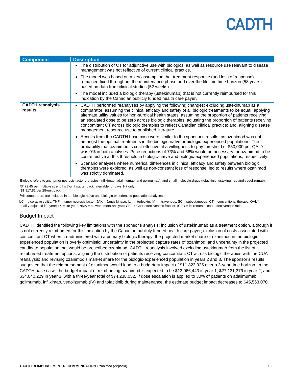| <b>Component</b>                   | <b>Description</b>                                                                                                                                                                                                                                                                                                                                                                                                                                                                                                                                                                  |
|------------------------------------|-------------------------------------------------------------------------------------------------------------------------------------------------------------------------------------------------------------------------------------------------------------------------------------------------------------------------------------------------------------------------------------------------------------------------------------------------------------------------------------------------------------------------------------------------------------------------------------|
|                                    | • The distribution of CT for adjunctive use with biologics, as well as resource use relevant to disease<br>management was not reflective of current clinical practice.                                                                                                                                                                                                                                                                                                                                                                                                              |
|                                    | The model was based on a key assumption that treatment response (and loss of response)<br>$\bullet$<br>remained fixed throughout the maintenance phase and over the lifetime time horizon (58 years)<br>based on data from clinical studies (52 weeks).                                                                                                                                                                                                                                                                                                                             |
|                                    | The model included a biologic therapy (ustekinumab) that is not currently reimbursed for this<br>$\bullet$<br>indication by the Canadian publicly funded health care payer.                                                                                                                                                                                                                                                                                                                                                                                                         |
| <b>CADTH</b> reanalysis<br>results | CADTH performed reanalyses by applying the following changes: excluding ustekinumab as a<br>comparator; assuming the clinical efficacy and safety of all biologic treatments to be equal; applying<br>alternate utility values for non-surgical health states; assuming the proportion of patients receiving<br>an escalated dose to be zero across biologic therapies; adjusting the proportion of patients receiving<br>concomitant CT across biologic therapies to reflect Canadian clinical practice; and, aligning disease<br>management resource use to published literature. |
|                                    | Results from the CADTH base case were similar to the sponsor's results, as ozanimod was not<br>$\bullet$<br>amongst the optimal treatments in the biologic-naïve or biologic-experienced populations. The<br>probability that ozanimod is cost-effective at a willingness-to-pay threshold of \$50,000 per QALY<br>was 0% in both analyses. Price reductions of 73% and 66% would be necessary for ozanimod to be<br>cost-effective at this threshold in biologic-naïve and biologic-experienced populations, respectively.                                                         |
|                                    | • Scenario analyses where numerical differences in clinical efficacy and safety between biologic<br>therapies were explored, as well as non-constant loss of response, led to results where ozanimod<br>was strictly dominated.                                                                                                                                                                                                                                                                                                                                                     |

aBiologic refers to anti-tumor necrosis factor therapies (infliximab, adalimumab, and golimumab), and small molecule drugs (tofacitinib, ustekinumab and vedolizumab). b\$479.45 per multiple strengths 7-unit starter pack, available for days 1-7 only.

<sup>c</sup>\$1,917.81 per 28-unit pack.

<sup>d</sup>All comparators are included in the biologic-naïve and biologic-experienced population analyses.

UC = ulcerative colitis; TNF = tumor necrosis factor; JAK = Janus kinase; IL = Interleukin; IV = intravenous; SC = subcutaneous; CT = conventional therapy; QALY = quality-adjusted life-year; LY = life-year; NMA = network meta-analysis; CEF = Cost-effectiveness frontier; ICER = incremental cost-effectiveness ratio.

### Budget Impact

CADTH identified the following key limitations with the sponsor's analysis: inclusion of ustekinumab as a treatment option, although it is not currently reimbursed for this indication by the Canadian publicly funded health care payer; exclusion of costs associated with concomitant CT when co-administered with a primary biologic therapy; the projected market share of ozanimod in the biologicexperienced population is overly optimistic; uncertainty in the projected capture rates of ozanimod; and uncertainty in the projected candidate population that would be prescribed ozanimod. CADTH reanalysis involved excluding ustekinumab from the list of reimbursed treatment options; aligning the distribution of patients receiving concomitant CT across biologic therapies with the CUA reanalysis; and revising ozanimod's market share for the biologic-experienced population in years 2 and 3. The sponsor's results suggested that the reimbursement of ozanimod would lead to a budgetary impact of \$11,823,925 over a 3-year time horizon. In the CADTH base case, the budget impact of reimbursing ozanimod is expected to be \$13,066,443 in year 1, \$27,131,379 in year 2, and \$34,040,229 in year 3, with a three-year total of \$74,238,052. If dose escalation is applied to 30% of patients on adalimumab, golimumab, infliximab, vedolizumab (IV) and tofacitinib during maintenance, the estimate budget impact decreases to \$45,563,070.